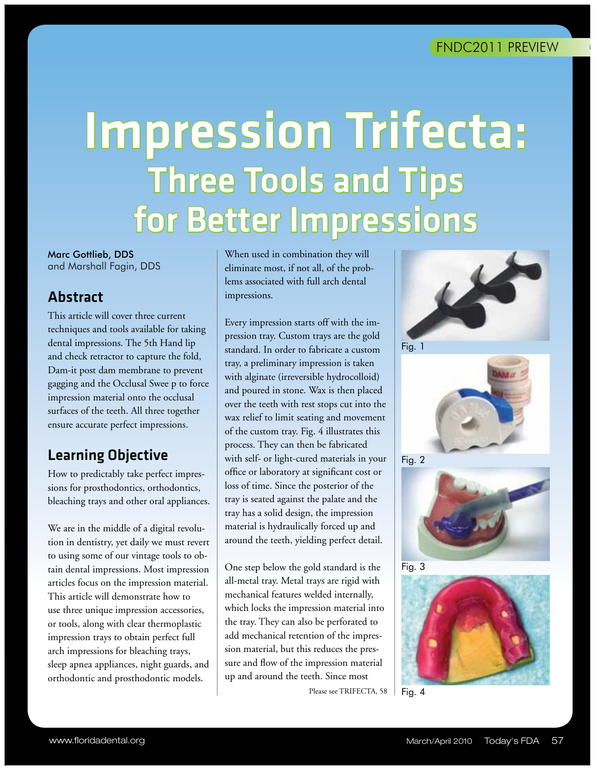# Impression Trifecta: Three Tools and Tips for Better Impressions

Marc Gottlieb, DDS and Marshall Fagin, DDS

## Abstract

This article will cover three current techniques and tools available for taking dental impressions. The 5th Hand lip and check retractor to capture the fold, Dam-it post dam membrane to prevent gagging and the Occlusal Swee p to force impression material onto the occlusal surfaces of the teeth. All three together ensure accurate perfect impressions.

# Learning Objective

How to predictably take perfect impressions for prosthodontics, orthodontics, bleaching trays and other oral appliances.

We are in the middle of a digital revolution in dentistry, yet daily we must revert to using some of our vintage tools to obtain dental impressions. Most impression articles focus on the impression material. This article will demonstrate how to use three unique impression accessories, or tools, along with clear thermoplastic impression trays to obtain perfect full arch impressions for bleaching trays, sleep apnea appliances, night guards, and orthodontic and prosthodontic models.

When used in combination they will eliminate most, if not all, of the problems associated with full arch dental impressions.

Every impression starts off with the impression tray. Custom trays are the gold standard. In order to fabricate a custom tray, a preliminary impression is taken with alginate (irreversible hydrocolloid) and poured in stone. Wax is then placed over the teeth with rest stops cut into the wax relief to limit seating and movement of the custom tray. Fig. 4 illustrates this process. They can then be fabricated with self- or light-cured materials in your office or laboratory at significant cost or loss of time. Since the posterior of the tray is seated against the palate and the tray has a solid design, the impression material is hydraulically forced up and around the teeth, yielding perfect detail.

One step below the gold standard is the all-metal tray. Metal trays are rigid with mechanical features welded internally, which locks the impression material into the tray. They can also be perforated to add mechanical retention of the impression material, but this reduces the pressure and flow of the impression material up and around the teeth. Since most

ww.florida.org March/April 2011 Today's FDA 571 Today's FDA 571 Today's FDA 571 Today's FDA 571 Today's FDA 57



Fig. 1









Please see TRIFECTA, 58 | Fig. 4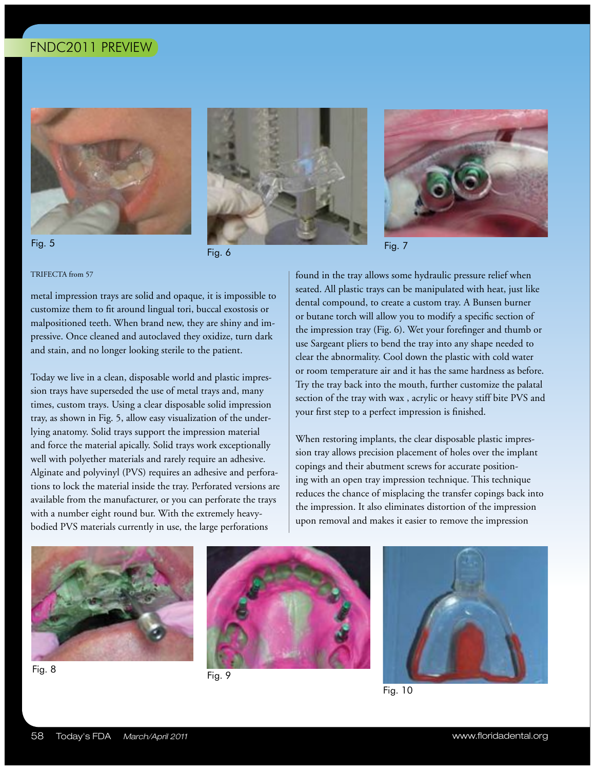







### TRIFECTA from 57

metal impression trays are solid and opaque, it is impossible to customize them to fit around lingual tori, buccal exostosis or malpositioned teeth. When brand new, they are shiny and impressive. Once cleaned and autoclaved they oxidize, turn dark and stain, and no longer looking sterile to the patient.

Today we live in a clean, disposable world and plastic impression trays have superseded the use of metal trays and, many times, custom trays. Using a clear disposable solid impression tray, as shown in Fig. 5, allow easy visualization of the underlying anatomy. Solid trays support the impression material and force the material apically. Solid trays work exceptionally well with polyether materials and rarely require an adhesive. Alginate and polyvinyl (PVS) requires an adhesive and perforations to lock the material inside the tray. Perforated versions are available from the manufacturer, or you can perforate the trays with a number eight round bur. With the extremely heavybodied PVS materials currently in use, the large perforations

found in the tray allows some hydraulic pressure relief when seated. All plastic trays can be manipulated with heat, just like dental compound, to create a custom tray. A Bunsen burner or butane torch will allow you to modify a specific section of the impression tray (Fig. 6). Wet your forefinger and thumb or use Sargeant pliers to bend the tray into any shape needed to clear the abnormality. Cool down the plastic with cold water or room temperature air and it has the same hardness as before. Try the tray back into the mouth, further customize the palatal section of the tray with wax , acrylic or heavy stiff bite PVS and your first step to a perfect impression is finished.

When restoring implants, the clear disposable plastic impression tray allows precision placement of holes over the implant copings and their abutment screws for accurate positioning with an open tray impression technique. This technique reduces the chance of misplacing the transfer copings back into the impression. It also eliminates distortion of the impression upon removal and makes it easier to remove the impression







58!!!!!Today's FDA!!!!!March/April 2011 www.floridadental.org





Fig. 10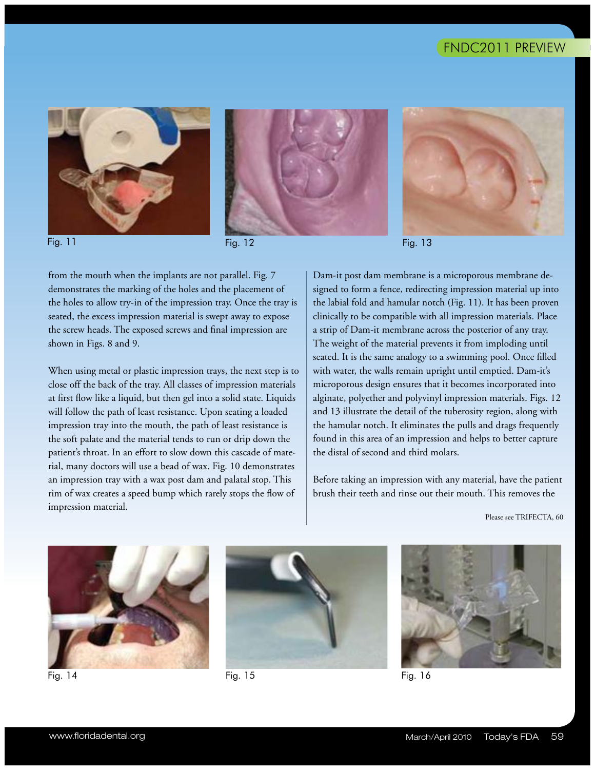





Fig. 13

from the mouth when the implants are not parallel. Fig. 7 demonstrates the marking of the holes and the placement of the holes to allow try-in of the impression tray. Once the tray is seated, the excess impression material is swept away to expose the screw heads. The exposed screws and final impression are shown in Figs. 8 and 9.

When using metal or plastic impression trays, the next step is to close off the back of the tray. All classes of impression materials at first flow like a liquid, but then gel into a solid state. Liquids will follow the path of least resistance. Upon seating a loaded impression tray into the mouth, the path of least resistance is the soft palate and the material tends to run or drip down the patient's throat. In an effort to slow down this cascade of material, many doctors will use a bead of wax. Fig. 10 demonstrates an impression tray with a wax post dam and palatal stop. This rim of wax creates a speed bump which rarely stops the flow of impression material.

Dam-it post dam membrane is a microporous membrane designed to form a fence, redirecting impression material up into the labial fold and hamular notch (Fig. 11). It has been proven clinically to be compatible with all impression materials. Place a strip of Dam-it membrane across the posterior of any tray. The weight of the material prevents it from imploding until seated. It is the same analogy to a swimming pool. Once filled with water, the walls remain upright until emptied. Dam-it's microporous design ensures that it becomes incorporated into alginate, polyether and polyvinyl impression materials. Figs. 12 and 13 illustrate the detail of the tuberosity region, along with the hamular notch. It eliminates the pulls and drags frequently found in this area of an impression and helps to better capture the distal of second and third molars.

Before taking an impression with any material, have the patient brush their teeth and rinse out their mouth. This removes the

Please see TRIFECTA, 60



Fig. 14 Fig. 15 Fig. 16



w.floridadental.org March/April 2011 Today's FDA 591 Today's FDA 591 Today's FDA 591 Today's FDA 591 Today's FD

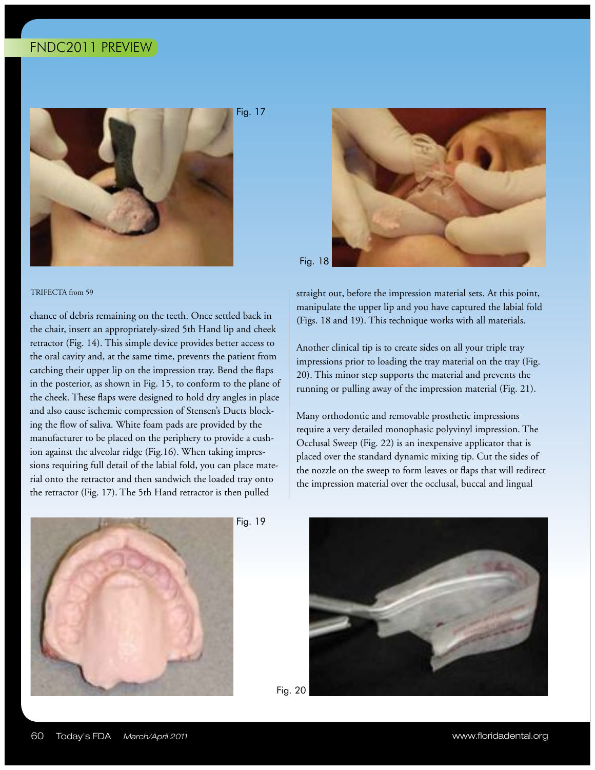

chance of debris remaining on the teeth. Once settled back in the chair, insert an appropriately-sized 5th Hand lip and cheek retractor (Fig. 14). This simple device provides better access to the oral cavity and, at the same time, prevents the patient from catching their upper lip on the impression tray. Bend the flaps in the posterior, as shown in Fig. 15, to conform to the plane of the cheek. These flaps were designed to hold dry angles in place and also cause ischemic compression of Stensen's Ducts blocking the flow of saliva. White foam pads are provided by the manufacturer to be placed on the periphery to provide a cushion against the alveolar ridge (Fig.16). When taking impressions requiring full detail of the labial fold, you can place material onto the retractor and then sandwich the loaded tray onto the retractor (Fig. 17). The 5th Hand retractor is then pulled

Fig. 17



TRIFECTA from 59 straight out, before the impression material sets. At this point, manipulate the upper lip and you have captured the labial fold (Figs. 18 and 19). This technique works with all materials.

> Another clinical tip is to create sides on all your triple tray impressions prior to loading the tray material on the tray (Fig. 20). This minor step supports the material and prevents the running or pulling away of the impression material (Fig. 21).

Many orthodontic and removable prosthetic impressions require a very detailed monophasic polyvinyl impression. The Occlusal Sweep (Fig. 22) is an inexpensive applicator that is placed over the standard dynamic mixing tip. Cut the sides of the nozzle on the sweep to form leaves or flaps that will redirect the impression material over the occlusal, buccal and lingual



Fig. 19



Fig. 20